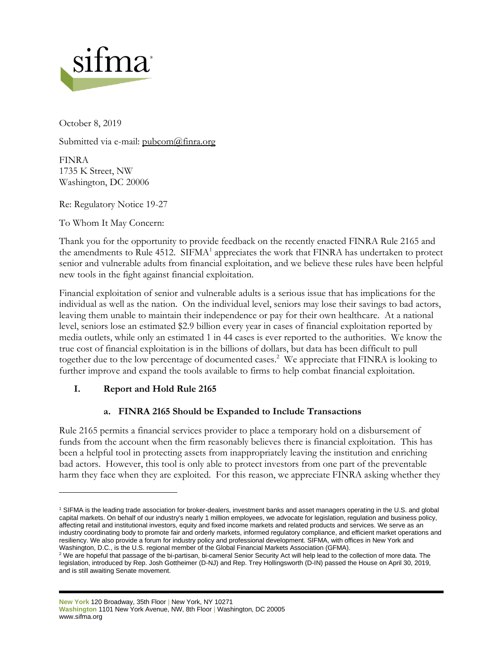

October 8, 2019

Submitted via e-mail: [pubcom@finra.org](mailto:pubcom@finra.org)

FINRA 1735 K Street, NW Washington, DC 20006

Re: Regulatory Notice 19-27

To Whom It May Concern:

Thank you for the opportunity to provide feedback on the recently enacted FINRA Rule 2165 and the amendments to Rule 4512. SIFMA<sup>1</sup> appreciates the work that FINRA has undertaken to protect senior and vulnerable adults from financial exploitation, and we believe these rules have been helpful new tools in the fight against financial exploitation.

Financial exploitation of senior and vulnerable adults is a serious issue that has implications for the individual as well as the nation. On the individual level, seniors may lose their savings to bad actors, leaving them unable to maintain their independence or pay for their own healthcare. At a national level, seniors lose an estimated \$2.9 billion every year in cases of financial exploitation reported by media outlets, while only an estimated 1 in 44 cases is ever reported to the authorities. We know the true cost of financial exploitation is in the billions of dollars, but data has been difficult to pull together due to the low percentage of documented cases.<sup>2</sup> We appreciate that FINRA is looking to further improve and expand the tools available to firms to help combat financial exploitation.

# **I. Report and Hold Rule 2165**

# **a. FINRA 2165 Should be Expanded to Include Transactions**

Rule 2165 permits a financial services provider to place a temporary hold on a disbursement of funds from the account when the firm reasonably believes there is financial exploitation. This has been a helpful tool in protecting assets from inappropriately leaving the institution and enriching bad actors. However, this tool is only able to protect investors from one part of the preventable harm they face when they are exploited. For this reason, we appreciate FINRA asking whether they

<sup>1</sup> SIFMA is the leading trade association for broker-dealers, investment banks and asset managers operating in the U.S. and global capital markets. On behalf of our industry's nearly 1 million employees, we advocate for legislation, regulation and business policy, affecting retail and institutional investors, equity and fixed income markets and related products and services. We serve as an industry coordinating body to promote fair and orderly markets, informed regulatory compliance, and efficient market operations and resiliency. We also provide a forum for industry policy and professional development. SIFMA, with offices in New York and Washington, D.C., is the U.S. regional member of the Global Financial Markets Association (GFMA).

<sup>&</sup>lt;sup>2</sup> We are hopeful that passage of the bi-partisan, bi-cameral Senior Security Act will help lead to the collection of more data. The legislation, introduced by Rep. Josh Gottheimer (D-NJ) and Rep. Trey Hollingsworth (D-IN) passed the House on April 30, 2019, and is still awaiting Senate movement.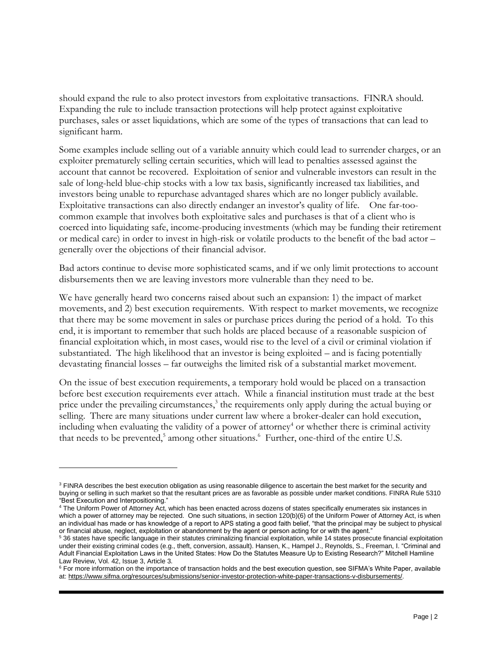should expand the rule to also protect investors from exploitative transactions. FINRA should. Expanding the rule to include transaction protections will help protect against exploitative purchases, sales or asset liquidations, which are some of the types of transactions that can lead to significant harm.

Some examples include selling out of a variable annuity which could lead to surrender charges, or an exploiter prematurely selling certain securities, which will lead to penalties assessed against the account that cannot be recovered. Exploitation of senior and vulnerable investors can result in the sale of long-held blue-chip stocks with a low tax basis, significantly increased tax liabilities, and investors being unable to repurchase advantaged shares which are no longer publicly available. Exploitative transactions can also directly endanger an investor's quality of life. One far-toocommon example that involves both exploitative sales and purchases is that of a client who is coerced into liquidating safe, income-producing investments (which may be funding their retirement or medical care) in order to invest in high-risk or volatile products to the benefit of the bad actor – generally over the objections of their financial advisor.

Bad actors continue to devise more sophisticated scams, and if we only limit protections to account disbursements then we are leaving investors more vulnerable than they need to be.

We have generally heard two concerns raised about such an expansion: 1) the impact of market movements, and 2) best execution requirements. With respect to market movements, we recognize that there may be some movement in sales or purchase prices during the period of a hold. To this end, it is important to remember that such holds are placed because of a reasonable suspicion of financial exploitation which, in most cases, would rise to the level of a civil or criminal violation if substantiated. The high likelihood that an investor is being exploited – and is facing potentially devastating financial losses – far outweighs the limited risk of a substantial market movement.

On the issue of best execution requirements, a temporary hold would be placed on a transaction before best execution requirements ever attach. While a financial institution must trade at the best price under the prevailing circumstances,<sup>3</sup> the requirements only apply during the actual buying or selling. There are many situations under current law where a broker-dealer can hold execution, including when evaluating the validity of a power of attorney<sup>4</sup> or whether there is criminal activity that needs to be prevented,<sup>5</sup> among other situations.<sup>6</sup> Further, one-third of the entire U.S.

<sup>&</sup>lt;sup>3</sup> FINRA describes the best execution obligation as using reasonable diligence to ascertain the best market for the security and buying or selling in such market so that the resultant prices are as favorable as possible under market conditions. FINRA Rule 5310 "Best Execution and Interpositioning."

<sup>4</sup> The Uniform Power of Attorney Act, which has been enacted across dozens of states specifically enumerates six instances in which a power of attorney may be rejected. One such situations, in section 120(b)(6) of the Uniform Power of Attorney Act, is when an individual has made or has knowledge of a report to APS stating a good faith belief, "that the principal may be subject to physical or financial abuse, neglect, exploitation or abandonment by the agent or person acting for or with the agent."

<sup>5</sup> 36 states have specific language in their statutes criminalizing financial exploitation, while 14 states prosecute financial exploitation under their existing criminal codes (e.g., theft, conversion, assault). Hansen, K., Hampel J., Reynolds, S., Freeman, I. "Criminal and Adult Financial Exploitation Laws in the United States: How Do the Statutes Measure Up to Existing Research?" Mitchell Hamline Law Review, Vol. 42, Issue 3, Article 3.

<sup>&</sup>lt;sup>6</sup> For more information on the importance of transaction holds and the best execution question, see SIFMA's White Paper, available at: [https://www.sifma.org/resources/submissions/senior-investor-protection-white-paper-transactions-v-disbursements/.](https://www.sifma.org/resources/submissions/senior-investor-protection-white-paper-transactions-v-disbursements/)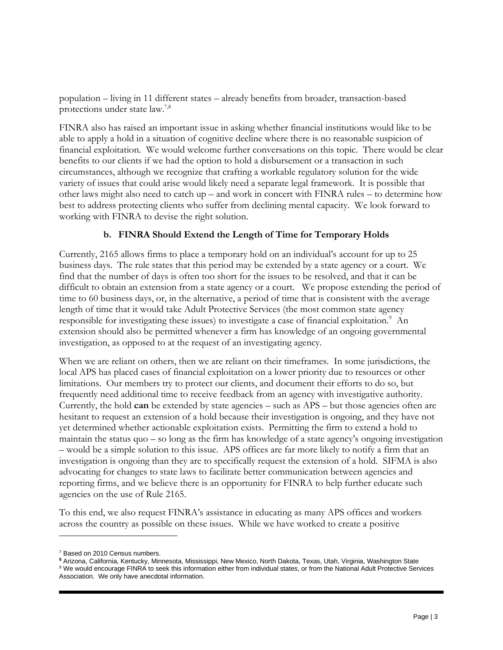population – living in 11 different states – already benefits from broader, transaction-based protections under state law.7,8

FINRA also has raised an important issue in asking whether financial institutions would like to be able to apply a hold in a situation of cognitive decline where there is no reasonable suspicion of financial exploitation. We would welcome further conversations on this topic. There would be clear benefits to our clients if we had the option to hold a disbursement or a transaction in such circumstances, although we recognize that crafting a workable regulatory solution for the wide variety of issues that could arise would likely need a separate legal framework. It is possible that other laws might also need to catch up – and work in concert with FINRA rules – to determine how best to address protecting clients who suffer from declining mental capacity. We look forward to working with FINRA to devise the right solution.

#### **b. FINRA Should Extend the Length of Time for Temporary Holds**

Currently, 2165 allows firms to place a temporary hold on an individual's account for up to 25 business days. The rule states that this period may be extended by a state agency or a court. We find that the number of days is often too short for the issues to be resolved, and that it can be difficult to obtain an extension from a state agency or a court. We propose extending the period of time to 60 business days, or, in the alternative, a period of time that is consistent with the average length of time that it would take Adult Protective Services (the most common state agency responsible for investigating these issues) to investigate a case of financial exploitation.<sup>9</sup> An extension should also be permitted whenever a firm has knowledge of an ongoing governmental investigation, as opposed to at the request of an investigating agency.

When we are reliant on others, then we are reliant on their timeframes. In some jurisdictions, the local APS has placed cases of financial exploitation on a lower priority due to resources or other limitations. Our members try to protect our clients, and document their efforts to do so, but frequently need additional time to receive feedback from an agency with investigative authority. Currently, the hold **can** be extended by state agencies – such as APS – but those agencies often are hesitant to request an extension of a hold because their investigation is ongoing, and they have not yet determined whether actionable exploitation exists. Permitting the firm to extend a hold to maintain the status quo – so long as the firm has knowledge of a state agency's ongoing investigation – would be a simple solution to this issue. APS offices are far more likely to notify a firm that an investigation is ongoing than they are to specifically request the extension of a hold. SIFMA is also advocating for changes to state laws to facilitate better communication between agencies and reporting firms, and we believe there is an opportunity for FINRA to help further educate such agencies on the use of Rule 2165.

To this end, we also request FINRA's assistance in educating as many APS offices and workers across the country as possible on these issues. While we have worked to create a positive

<sup>&</sup>lt;sup>7</sup> Based on 2010 Census numbers.

**<sup>8</sup>** Arizona, California, Kentucky, Minnesota, Mississippi, New Mexico, North Dakota, Texas, Utah, Virginia, Washington State <sup>9</sup> We would encourage FINRA to seek this information either from individual states, or from the National Adult Protective Services Association. We only have anecdotal information.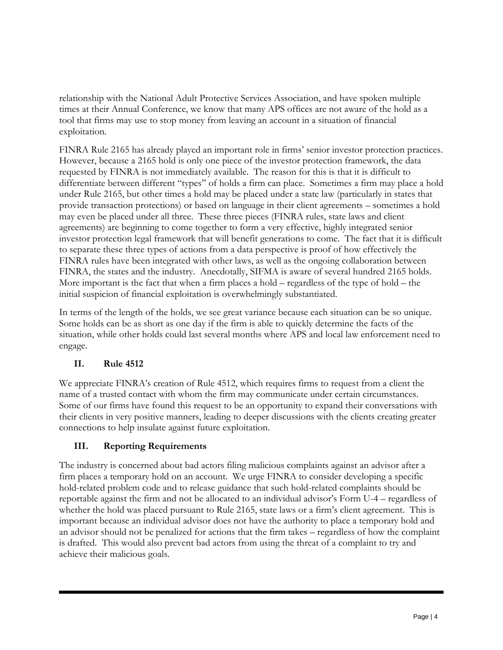relationship with the National Adult Protective Services Association, and have spoken multiple times at their Annual Conference, we know that many APS offices are not aware of the hold as a tool that firms may use to stop money from leaving an account in a situation of financial exploitation.

FINRA Rule 2165 has already played an important role in firms' senior investor protection practices. However, because a 2165 hold is only one piece of the investor protection framework, the data requested by FINRA is not immediately available. The reason for this is that it is difficult to differentiate between different "types" of holds a firm can place. Sometimes a firm may place a hold under Rule 2165, but other times a hold may be placed under a state law (particularly in states that provide transaction protections) or based on language in their client agreements – sometimes a hold may even be placed under all three. These three pieces (FINRA rules, state laws and client agreements) are beginning to come together to form a very effective, highly integrated senior investor protection legal framework that will benefit generations to come. The fact that it is difficult to separate these three types of actions from a data perspective is proof of how effectively the FINRA rules have been integrated with other laws, as well as the ongoing collaboration between FINRA, the states and the industry. Anecdotally, SIFMA is aware of several hundred 2165 holds. More important is the fact that when a firm places a hold – regardless of the type of hold – the initial suspicion of financial exploitation is overwhelmingly substantiated.

In terms of the length of the holds, we see great variance because each situation can be so unique. Some holds can be as short as one day if the firm is able to quickly determine the facts of the situation, while other holds could last several months where APS and local law enforcement need to engage.

# **II. Rule 4512**

We appreciate FINRA's creation of Rule 4512, which requires firms to request from a client the name of a trusted contact with whom the firm may communicate under certain circumstances. Some of our firms have found this request to be an opportunity to expand their conversations with their clients in very positive manners, leading to deeper discussions with the clients creating greater connections to help insulate against future exploitation.

# **III. Reporting Requirements**

The industry is concerned about bad actors filing malicious complaints against an advisor after a firm places a temporary hold on an account. We urge FINRA to consider developing a specific hold-related problem code and to release guidance that such hold-related complaints should be reportable against the firm and not be allocated to an individual advisor's Form U-4 – regardless of whether the hold was placed pursuant to Rule 2165, state laws or a firm's client agreement. This is important because an individual advisor does not have the authority to place a temporary hold and an advisor should not be penalized for actions that the firm takes – regardless of how the complaint is drafted. This would also prevent bad actors from using the threat of a complaint to try and achieve their malicious goals.